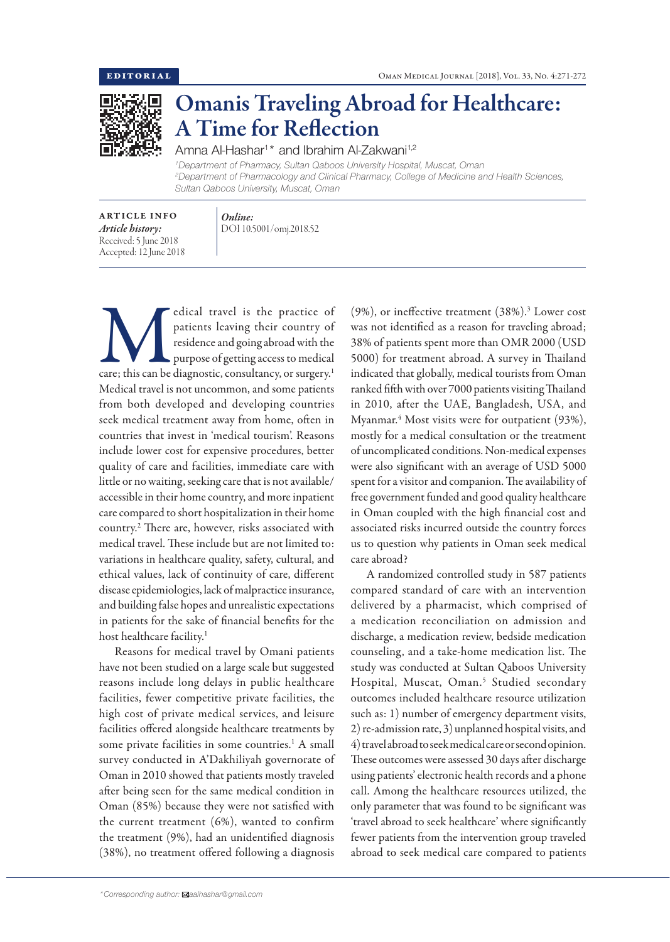

## Omanis Traveling Abroad for Healthcare: A Time for Reflection

Amna Al-Hashar<sup>1\*</sup> and Ibrahim Al-Zakwani<sup>1,2</sup>

*1 Department of Pharmacy, Sultan Qaboos University Hospital, Muscat, Oman 2 Department of Pharmacology and Clinical Pharmacy, College of Medicine and Health Sciences, Sultan Qaboos University, Muscat, Oman*

ARTICLE INFO *Article history:* Received: 5 June 2018 Accepted: 12 June 2018

*Online:* DOI 10.5001/omj.2018.52

edical travel is the practice of patients leaving their country of residence and going abroad with the purpose of getting access to medical care; this can be diagnostic, consultancy, or surgery.<sup>1</sup> patients leaving their country of residence and going abroad with the purpose of getting access to medical Medical travel is not uncommon, and some patients from both developed and developing countries seek medical treatment away from home, often in countries that invest in 'medical tourism'. Reasons include lower cost for expensive procedures, better quality of care and facilities, immediate care with little or no waiting, seeking care that is not available/ accessible in their home country, and more inpatient care compared to short hospitalization in their home country.2 There are, however, risks associated with medical travel. These include but are not limited to: variations in healthcare quality, safety, cultural, and ethical values, lack of continuity of care, different disease epidemiologies, lack of malpractice insurance, and building false hopes and unrealistic expectations in patients for the sake of financial benefits for the host healthcare facility.<sup>1</sup>

Reasons for medical travel by Omani patients have not been studied on a large scale but suggested reasons include long delays in public healthcare facilities, fewer competitive private facilities, the high cost of private medical services, and leisure facilities offered alongside healthcare treatments by some private facilities in some countries.<sup>1</sup> A small survey conducted in A'Dakhiliyah governorate of Oman in 2010 showed that patients mostly traveled after being seen for the same medical condition in Oman (85%) because they were not satisfied with the current treatment (6%), wanted to confirm the treatment (9%), had an unidentified diagnosis (38%), no treatment offered following a diagnosis

(9%), or ineffective treatment (38%).3 Lower cost was not identified as a reason for traveling abroad; 38% of patients spent more than OMR 2000 (USD 5000) for treatment abroad. A survey in Thailand indicated that globally, medical tourists from Oman ranked fifth with over 7000 patients visiting Thailand in 2010, after the UAE, Bangladesh, USA, and Myanmar.4 Most visits were for outpatient (93%), mostly for a medical consultation or the treatment of uncomplicated conditions. Non-medical expenses were also significant with an average of USD 5000 spent for a visitor and companion. The availability of free government funded and good quality healthcare in Oman coupled with the high financial cost and associated risks incurred outside the country forces us to question why patients in Oman seek medical care abroad?

A randomized controlled study in 587 patients compared standard of care with an intervention delivered by a pharmacist, which comprised of a medication reconciliation on admission and discharge, a medication review, bedside medication counseling, and a take-home medication list. The study was conducted at Sultan Qaboos University Hospital, Muscat, Oman.5 Studied secondary outcomes included healthcare resource utilization such as: 1) number of emergency department visits, 2) re-admission rate, 3) unplanned hospital visits, and 4) travel abroad to seek medical care or second opinion. These outcomes were assessed 30 days after discharge using patients' electronic health records and a phone call. Among the healthcare resources utilized, the only parameter that was found to be significant was 'travel abroad to seek healthcare' where significantly fewer patients from the intervention group traveled abroad to seek medical care compared to patients